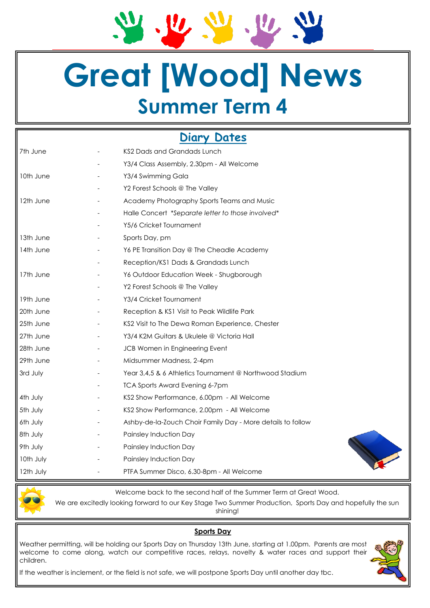$\mathbf{u}$  $U_{\ell}$ 

# **Great [Wood] News Summer Term 4**

## **Diary Dates**

| 7th June  | KS2 Dads and Grandads Lunch                                 |
|-----------|-------------------------------------------------------------|
|           | Y3/4 Class Assembly, 2.30pm - All Welcome                   |
| 10th June | Y3/4 Swimming Gala                                          |
|           | Y2 Forest Schools @ The Valley                              |
| 12th June | Academy Photography Sports Teams and Music                  |
|           | Halle Concert *Separate letter to those involved*           |
|           | Y5/6 Cricket Tournament                                     |
| 13th June | Sports Day, pm                                              |
| 14th June | Y6 PE Transition Day @ The Cheadle Academy                  |
|           | Reception/KS1 Dads & Grandads Lunch                         |
| 17th June | Y6 Outdoor Education Week - Shugborough                     |
|           | Y2 Forest Schools @ The Valley                              |
| 19th June | Y3/4 Cricket Tournament                                     |
| 20th June | Reception & KS1 Visit to Peak Wildlife Park                 |
| 25th June | KS2 Visit to The Dewa Roman Experience, Chester             |
| 27th June | Y3/4 K2M Guitars & Ukulele @ Victoria Hall                  |
| 28th June | JCB Women in Engineering Event                              |
| 29th June | Midsummer Madness, 2-4pm                                    |
| 3rd July  | Year 3,4,5 & 6 Athletics Tournament @ Northwood Stadium     |
|           | <b>TCA Sports Award Evening 6-7pm</b>                       |
| 4th July  | KS2 Show Performance, 6.00pm - All Welcome                  |
| 5th July  | KS2 Show Performance, 2.00pm - All Welcome                  |
| 6th July  | Ashby-de-la-Zouch Choir Family Day - More details to follow |
| 8th July  | Painsley Induction Day                                      |
| 9th July  | Painsley Induction Day                                      |
| 10th July | Painsley Induction Day                                      |
| 12th July | PTFA Summer Disco, 6.30-8pm - All Welcome                   |



Welcome back to the second half of the Summer Term at Great Wood.

We are excitedly looking forward to our Key Stage Two Summer Production, Sports Day and hopefully the sun shining!

#### **Sports Day**

Weather permitting, will be holding our Sports Day on Thursday 13th June, starting at 1.00pm. Parents are most welcome to come along, watch our competitive races, relays, novelty & water races and support their children.



If the weather is inclement, or the field is not safe, we will postpone Sports Day until another day tbc.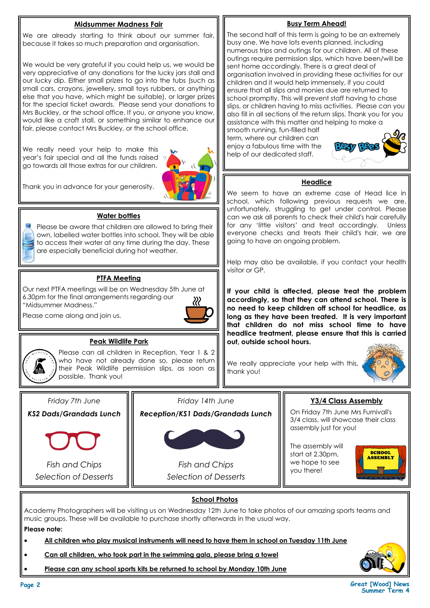#### **Midsummer Madness Fair**

We are already starting to think about our summer fair, because it takes so much preparation and organisation.

We would be very grateful if you could help us, we would be very appreciative of any donations for the lucky jars stall and our lucky dip. Either small prizes to go into the tubs (such as small cars, crayons, jewellery, small toys rubbers, or anything else that you have, which might be suitable), or larger prizes for the special ticket awards. Please send your donations to Mrs Buckley, or the school office. If you, or anyone you know, would like a craft stall, or something similar to enhance our fair, please contact Mrs Buckley, or the school office.

We really need your help to make this year's fair special and all the funds raised go towards all those extras for our children.



Thank you in advance for your generosity.

#### **Water bottles**

Please be aware that children are allowed to bring their own, labelled water bottles into school. They will be able to access their water at any time during the day. These are especially beneficial during hot weather.

#### **PTFA Meeting**

Our next PTFA meetings will be on Wednesday 5th June at 6.30pm for the final arrangements regarding our "Midsummer Madness."

Please come along and join us.





#### **Peak Wildlife Park**

Please can all children in Reception, Year 1 & 2 who have not already done so, please return their Peak Wildlife permission slips, as soon as possible. Thank you!

*Friday 7th June KS2 Dads/Grandads Lunch*



*Fish and Chips Selection of Desserts* *Friday 14th June* 

*Reception/KS1 Dads/Grandads Lunch*



*Fish and Chips Selection of Desserts*

#### **Busy Term Ahead!**

The second half of this term is going to be an extremely busy one. We have lots events planned, including numerous trips and outings for our children. All of these outings require permission slips, which have been/will be sent home accordingly. There is a great deal of organisation involved in providing these activities for our children and it would help immensely, if you could ensure that all slips and monies due are returned to school promptly. This will prevent staff having to chase slips, or children having to miss activities. Please can you also fill in all sections of the return slips. Thank you for you assistance with this matter and helping to make a

smooth running, fun-filled half term, where our children can enjoy a fabulous time with the help of our dedicated staff.



#### **Headlice**

We seem to have an extreme case of Head lice in school, which following previous requests we are, unfortunately, struggling to get under control. Please can we ask all parents to check their child's hair carefully for any 'little visitors' and treat accordingly. Unless everyone checks and treats their child's hair, we are going to have an ongoing problem.

Help may also be available, if you contact your health visitor or GP.

**If your child is affected, please treat the problem accordingly, so that they can attend school. There is no need to keep children off school for headlice, as long as they have been treated. It is very important that children do not miss school time to have headlice treatment, please ensure that this is carried out, outside school hours.**

We really appreciate your help with this, thank you!



#### **Y3/4 Class Assembly**

On Friday 7th June Mrs Furnivall's 3/4 class, will showcase their class assembly just for you!

The assembly will start at 2.30pm, we hope to see you there!



#### **School Photos**

Academy Photographers will be visiting us on Wednesday 12th June to take photos of our amazing sports teams and music groups. These will be available to purchase shortly afterwards in the usual way.

**Please note:** 

- **All children who play musical instruments will need to have them in school on Tuesday 11th June**
- **Can all children, who took part in the swimming gala, please bring a towel**
- **Please can any school sports kits be returned to school by Monday 10th June**



**Page 2 Great [Wood] News Summer Term 4**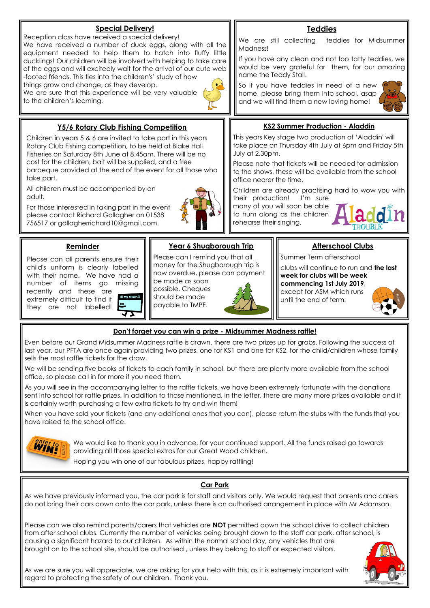

#### **Don't forget you can win a prize - Midsummer Madness raffle!**

Even before our Grand Midsummer Madness raffle is drawn, there are two prizes up for grabs. Following the success of last year, our PFTA are once again providing two prizes, one for KS1 and one for KS2, for the child/children whose family sells the most raffle tickets for the draw.

We will be sending five books of tickets to each family in school, but there are plenty more available from the school office, so please call in for more if you need them.

As you will see in the accompanying letter to the raffle tickets, we have been extremely fortunate with the donations sent into school for raffle prizes. In addition to those mentioned, in the letter, there are many more prizes available and it is certainly worth purchasing a few extra tickets to try and win them!

When you have sold your tickets (and any additional ones that you can), please return the stubs with the funds that you have raised to the school office.



We would like to thank you in advance, for your continued support. All the funds raised go towards providing all those special extras for our Great Wood children.

Hoping you win one of our fabulous prizes, happy raffling!

#### **Car Park**

As we have previously informed you, the car park is for staff and visitors only. We would request that parents and carers do not bring their cars down onto the car park, unless there is an authorised arrangement in place with Mr Adamson.

Please can we also remind parents/carers that vehicles are **NOT** permitted down the school drive to collect children from after school clubs. Currently the number of vehicles being brought down to the staff car park, after school, is causing a significant hazard to our children. As within the normal school day, any vehicles that are brought on to the school site, should be authorised , unless they belong to staff or expected visitors.

As we are sure you will appreciate, we are asking for your help with this, as it is extremely important with regard to protecting the safety of our children. Thank you.